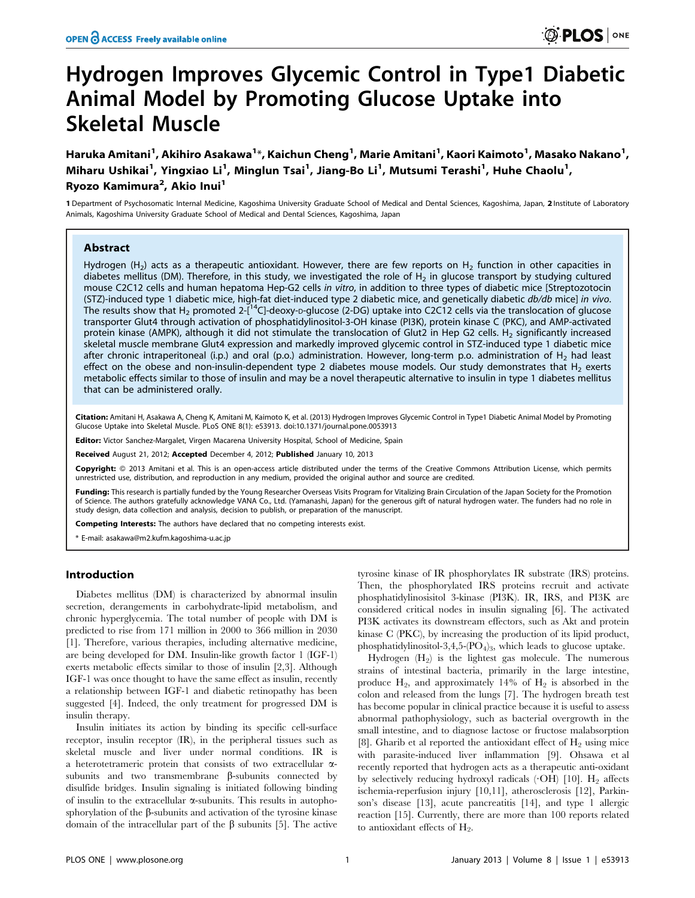# Hydrogen Improves Glycemic Control in Type1 Diabetic Animal Model by Promoting Glucose Uptake into Skeletal Muscle

Haruka Amitani<sup>1</sup>, Akihiro Asakawa<sup>1</sup>\*, Kaichun Cheng<sup>1</sup>, Marie Amitani<sup>1</sup>, Kaori Kaimoto<sup>1</sup>, Masako Nakano<sup>1</sup>, Miharu Ushikai<sup>1</sup>, Yingxiao Li<sup>1</sup>, Minglun Tsai<sup>1</sup>, Jiang-Bo Li<sup>1</sup>, Mutsumi Terashi<sup>1</sup>, Huhe Chaolu<sup>1</sup>, Ryozo Kamimura<sup>2</sup>, Akio Inui<sup>1</sup>

1 Department of Psychosomatic Internal Medicine, Kagoshima University Graduate School of Medical and Dental Sciences, Kagoshima, Japan, 2 Institute of Laboratory Animals, Kagoshima University Graduate School of Medical and Dental Sciences, Kagoshima, Japan

## Abstract

Hydrogen (H<sub>2</sub>) acts as a therapeutic antioxidant. However, there are few reports on H<sub>2</sub> function in other capacities in diabetes mellitus (DM). Therefore, in this study, we investigated the role of  $H_2$  in glucose transport by studying cultured mouse C2C12 cells and human hepatoma Hep-G2 cells in vitro, in addition to three types of diabetic mice [Streptozotocin (STZ)-induced type 1 diabetic mice, high-fat diet-induced type 2 diabetic mice, and genetically diabetic db/db mice] in vivo. The results show that H<sub>2</sub> promoted 2-[<sup>14</sup>C]-deoxy-D-glucose (2-DG) uptake into C2C12 cells via the translocation of glucose transporter Glut4 through activation of phosphatidylinositol-3-OH kinase (PI3K), protein kinase C (PKC), and AMP-activated protein kinase (AMPK), although it did not stimulate the translocation of Glut2 in Hep G2 cells. H<sub>2</sub> significantly increased skeletal muscle membrane Glut4 expression and markedly improved glycemic control in STZ-induced type 1 diabetic mice after chronic intraperitoneal (i.p.) and oral (p.o.) administration. However, long-term p.o. administration of  $H_2$  had least effect on the obese and non-insulin-dependent type 2 diabetes mouse models. Our study demonstrates that H<sub>2</sub> exerts metabolic effects similar to those of insulin and may be a novel therapeutic alternative to insulin in type 1 diabetes mellitus that can be administered orally.

Citation: Amitani H, Asakawa A, Cheng K, Amitani M, Kaimoto K, et al. (2013) Hydrogen Improves Glycemic Control in Type1 Diabetic Animal Model by Promoting Glucose Uptake into Skeletal Muscle. PLoS ONE 8(1): e53913. doi:10.1371/journal.pone.0053913

Editor: Victor Sanchez-Margalet, Virgen Macarena University Hospital, School of Medicine, Spain

Received August 21, 2012; Accepted December 4, 2012; Published January 10, 2013

Copyright: @ 2013 Amitani et al. This is an open-access article distributed under the terms of the Creative Commons Attribution License, which permits unrestricted use, distribution, and reproduction in any medium, provided the original author and source are credited.

Funding: This research is partially funded by the Young Researcher Overseas Visits Program for Vitalizing Brain Circulation of the Japan Society for the Promotion of Science. The authors gratefully acknowledge VANA Co., Ltd. (Yamanashi, Japan) for the generous gift of natural hydrogen water. The funders had no role in<br>study design, data collection and analysis, decision to publish,

Competing Interests: The authors have declared that no competing interests exist.

E-mail: asakawa@m2.kufm.kagoshima-u.ac.jp

## Introduction

Diabetes mellitus (DM) is characterized by abnormal insulin secretion, derangements in carbohydrate-lipid metabolism, and chronic hyperglycemia. The total number of people with DM is predicted to rise from 171 million in 2000 to 366 million in 2030 [1]. Therefore, various therapies, including alternative medicine, are being developed for DM. Insulin-like growth factor 1 (IGF-1) exerts metabolic effects similar to those of insulin [2,3]. Although IGF-1 was once thought to have the same effect as insulin, recently a relationship between IGF-1 and diabetic retinopathy has been suggested [4]. Indeed, the only treatment for progressed DM is insulin therapy.

Insulin initiates its action by binding its specific cell-surface receptor, insulin receptor (IR), in the peripheral tissues such as skeletal muscle and liver under normal conditions. IR is a heterotetrameric protein that consists of two extracellular  $\alpha$ subunits and two transmembrane  $\beta$ -subunits connected by disulfide bridges. Insulin signaling is initiated following binding of insulin to the extracellular  $\alpha$ -subunits. This results in autophosphorylation of the  $\beta$ -subunits and activation of the tyrosine kinase domain of the intracellular part of the  $\beta$  subunits [5]. The active

tyrosine kinase of IR phosphorylates IR substrate (IRS) proteins. Then, the phosphorylated IRS proteins recruit and activate phosphatidylinosisitol 3-kinase (PI3K). IR, IRS, and PI3K are considered critical nodes in insulin signaling [6]. The activated PI3K activates its downstream effectors, such as Akt and protein kinase C (PKC), by increasing the production of its lipid product, phosphatidylinositol-3,4,5- $(PO_4)_3$ , which leads to glucose uptake.

Hydrogen  $(H<sub>2</sub>)$  is the lightest gas molecule. The numerous strains of intestinal bacteria, primarily in the large intestine, produce  $H_2$ , and approximately 14% of  $H_2$  is absorbed in the colon and released from the lungs [7]. The hydrogen breath test has become popular in clinical practice because it is useful to assess abnormal pathophysiology, such as bacterial overgrowth in the small intestine, and to diagnose lactose or fructose malabsorption [8]. Gharib et al reported the antioxidant effect of  $H_2$  using mice with parasite-induced liver inflammation [9]. Ohsawa et al recently reported that hydrogen acts as a therapeutic anti-oxidant by selectively reducing hydroxyl radicals ( $\cdot$ OH) [10]. H<sub>2</sub> affects ischemia-reperfusion injury [10,11], atherosclerosis [12], Parkinson's disease [13], acute pancreatitis [14], and type 1 allergic reaction [15]. Currently, there are more than 100 reports related to antioxidant effects of  $H_2$ .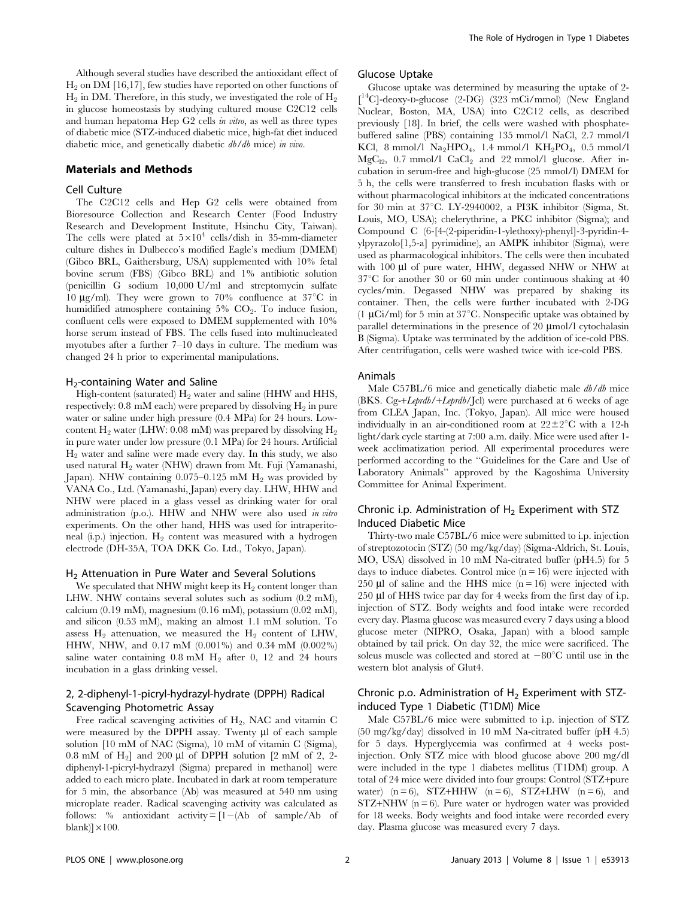Although several studies have described the antioxidant effect of  $H_2$  on DM [16,17], few studies have reported on other functions of  $H_2$  in DM. Therefore, in this study, we investigated the role of  $H_2$ in glucose homeostasis by studying cultured mouse C2C12 cells and human hepatoma Hep G2 cells in vitro, as well as three types of diabetic mice (STZ-induced diabetic mice, high-fat diet induced diabetic mice, and genetically diabetic db/db mice) in vivo.

#### Materials and Methods

## Cell Culture

The C2C12 cells and Hep G2 cells were obtained from Bioresource Collection and Research Center (Food Industry Research and Development Institute, Hsinchu City, Taiwan). The cells were plated at  $5\times10^4$  cells/dish in 35-mm-diameter culture dishes in Dulbecco's modified Eagle's medium (DMEM) (Gibco BRL, Gaithersburg, USA) supplemented with 10% fetal bovine serum (FBS) (Gibco BRL) and 1% antibiotic solution (penicillin G sodium 10,000 U/ml and streptomycin sulfate 10  $\mu$ g/ml). They were grown to 70% confluence at 37°C in humidified atmosphere containing  $5\%$   $CO<sub>2</sub>$ . To induce fusion, confluent cells were exposed to DMEM supplemented with 10% horse serum instead of FBS. The cells fused into multinucleated myotubes after a further 7–10 days in culture. The medium was changed 24 h prior to experimental manipulations.

## H2-containing Water and Saline

High-content (saturated)  $H_2$  water and saline (HHW and HHS, respectively: 0.8 mM each) were prepared by dissolving  $H_2$  in pure water or saline under high pressure (0.4 MPa) for 24 hours. Lowcontent  $H_2$  water (LHW: 0.08 mM) was prepared by dissolving  $H_2$ in pure water under low pressure (0.1 MPa) for 24 hours. Artificial  $H_2$  water and saline were made every day. In this study, we also used natural  $H_2$  water (NHW) drawn from Mt. Fuji (Yamanashi, Japan). NHW containing  $0.075-0.125$  mM  $H_2$  was provided by VANA Co., Ltd. (Yamanashi, Japan) every day. LHW, HHW and NHW were placed in a glass vessel as drinking water for oral administration (p.o.). HHW and NHW were also used in vitro experiments. On the other hand, HHS was used for intraperitoneal (i.p.) injection.  $H_2$  content was measured with a hydrogen electrode (DH-35A, TOA DKK Co. Ltd., Tokyo, Japan).

#### H<sub>2</sub> Attenuation in Pure Water and Several Solutions

We speculated that NHW might keep its  $H_2$  content longer than LHW. NHW contains several solutes such as sodium (0.2 mM), calcium (0.19 mM), magnesium (0.16 mM), potassium (0.02 mM), and silicon (0.53 mM), making an almost 1.1 mM solution. To assess  $H_2$  attenuation, we measured the  $H_2$  content of LHW, HHW, NHW, and 0.17 mM (0.001%) and 0.34 mM (0.002%) saline water containing  $0.8 \text{ mM H}_2$  after 0, 12 and 24 hours incubation in a glass drinking vessel.

# 2, 2-diphenyl-1-picryl-hydrazyl-hydrate (DPPH) Radical Scavenging Photometric Assay

Free radical scavenging activities of H<sub>2</sub>, NAC and vitamin C were measured by the DPPH assay. Twenty ul of each sample solution [10 mM of NAC (Sigma), 10 mM of vitamin C (Sigma), 0.8 mM of  $H_2$ ] and 200 µl of DPPH solution [2 mM of 2, 2diphenyl-1-picryl-hydrazyl (Sigma) prepared in methanol] were added to each micro plate. Incubated in dark at room temperature for 5 min, the absorbance (Ab) was measured at 540 nm using microplate reader. Radical scavenging activity was calculated as follows: % antioxidant activity =  $[1-(Ab)$  of sample/Ab of blank)] $\times100$ .

## Glucose Uptake

Glucose uptake was determined by measuring the uptake of 2- [ 14C]-deoxy-D-glucose (2-DG) (323 mCi/mmol) (New England Nuclear, Boston, MA, USA) into C2C12 cells, as described previously [18]. In brief, the cells were washed with phosphatebuffered saline (PBS) containing 135 mmol/l NaCl, 2.7 mmol/l KCl, 8 mmol/l  $Na<sub>2</sub>HPO<sub>4</sub>$ , 1.4 mmol/l  $KH<sub>2</sub>PO<sub>4</sub>$ , 0.5 mmol/l  $MgC_{12}$ , 0.7 mmol/l CaCl<sub>2</sub> and 22 mmol/l glucose. After incubation in serum-free and high-glucose (25 mmol/l) DMEM for 5 h, the cells were transferred to fresh incubation flasks with or without pharmacological inhibitors at the indicated concentrations for 30 min at  $37^{\circ}$ C. LY-2940002, a PI3K inhibitor (Sigma, St. Louis, MO, USA); chelerythrine, a PKC inhibitor (Sigma); and Compound C (6-[4-(2-piperidin-1-ylethoxy)-phenyl]-3-pyridin-4 ylpyrazolo[1,5-a] pyrimidine), an AMPK inhibitor (Sigma), were used as pharmacological inhibitors. The cells were then incubated with 100 µl of pure water, HHW, degassed NHW or NHW at  $37^{\circ}$ C for another 30 or 60 min under continuous shaking at 40 cycles/min. Degassed NHW was prepared by shaking its container. Then, the cells were further incubated with 2-DG  $(1 \text{ uCi/ml})$  for 5 min at 37<sup>°</sup>C. Nonspecific uptake was obtained by parallel determinations in the presence of 20  $\mu$ mol/l cytochalasin B (Sigma). Uptake was terminated by the addition of ice-cold PBS. After centrifugation, cells were washed twice with ice-cold PBS.

## Animals

Male C57BL/6 mice and genetically diabetic male  $db/db$  mice (BKS. Cg-+Leprdb/+Leprdb/Jcl) were purchased at 6 weeks of age from CLEA Japan, Inc. (Tokyo, Japan). All mice were housed individually in an air-conditioned room at  $22 \pm 2^{\circ}$ C with a 12-h light/dark cycle starting at 7:00 a.m. daily. Mice were used after 1 week acclimatization period. All experimental procedures were performed according to the ''Guidelines for the Care and Use of Laboratory Animals'' approved by the Kagoshima University Committee for Animal Experiment.

# Chronic i.p. Administration of  $H_2$  Experiment with STZ Induced Diabetic Mice

Thirty-two male C57BL/6 mice were submitted to i.p. injection of streptozotocin (STZ) (50 mg/kg/day) (Sigma-Aldrich, St. Louis, MO, USA) dissolved in 10 mM Na-citrated buffer (pH4.5) for 5 days to induce diabetes. Control mice  $(n = 16)$  were injected with 250  $\mu$ l of saline and the HHS mice (n = 16) were injected with 250 µl of HHS twice par day for 4 weeks from the first day of i.p. injection of STZ. Body weights and food intake were recorded every day. Plasma glucose was measured every 7 days using a blood glucose meter (NIPRO, Osaka, Japan) with a blood sample obtained by tail prick. On day 32, the mice were sacrificed. The soleus muscle was collected and stored at  $-80^{\circ}$ C until use in the western blot analysis of Glut4.

# Chronic p.o. Administration of  $H_2$  Experiment with STZinduced Type 1 Diabetic (T1DM) Mice

Male C57BL/6 mice were submitted to i.p. injection of STZ (50 mg/kg/day) dissolved in 10 mM Na-citrated buffer (pH 4.5) for 5 days. Hyperglycemia was confirmed at 4 weeks postinjection. Only STZ mice with blood glucose above 200 mg/dl were included in the type 1 diabetes mellitus (T1DM) group. A total of 24 mice were divided into four groups: Control (STZ+pure water)  $(n=6)$ , STZ+HHW  $(n=6)$ , STZ+LHW  $(n=6)$ , and  $STZ+NHW$  ( $n = 6$ ). Pure water or hydrogen water was provided for 18 weeks. Body weights and food intake were recorded every day. Plasma glucose was measured every 7 days.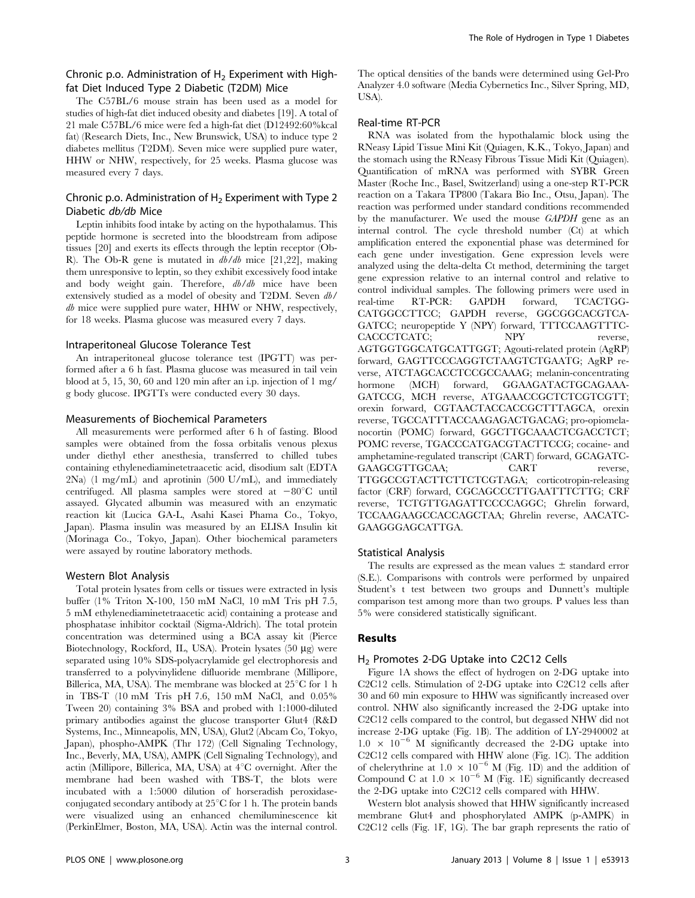# Chronic p.o. Administration of  $H<sub>2</sub>$  Experiment with Highfat Diet Induced Type 2 Diabetic (T2DM) Mice

The C57BL/6 mouse strain has been used as a model for studies of high-fat diet induced obesity and diabetes [19]. A total of 21 male C57BL/6 mice were fed a high-fat diet (D12492:60%kcal fat) (Research Diets, Inc., New Brunswick, USA) to induce type 2 diabetes mellitus (T2DM). Seven mice were supplied pure water, HHW or NHW, respectively, for 25 weeks. Plasma glucose was measured every 7 days.

# Chronic p.o. Administration of  $H_2$  Experiment with Type 2 Diabetic db/db Mice

Leptin inhibits food intake by acting on the hypothalamus. This peptide hormone is secreted into the bloodstream from adipose tissues [20] and exerts its effects through the leptin receptor (Ob-R). The Ob-R gene is mutated in  $db/db$  mice [21,22], making them unresponsive to leptin, so they exhibit excessively food intake and body weight gain. Therefore, db/db mice have been extensively studied as a model of obesity and T2DM. Seven db/ db mice were supplied pure water, HHW or NHW, respectively, for 18 weeks. Plasma glucose was measured every 7 days.

## Intraperitoneal Glucose Tolerance Test

An intraperitoneal glucose tolerance test (IPGTT) was performed after a 6 h fast. Plasma glucose was measured in tail vein blood at 5, 15, 30, 60 and 120 min after an i.p. injection of 1 mg/ g body glucose. IPGTTs were conducted every 30 days.

## Measurements of Biochemical Parameters

All measurements were performed after 6 h of fasting. Blood samples were obtained from the fossa orbitalis venous plexus under diethyl ether anesthesia, transferred to chilled tubes containing ethylenediaminetetraacetic acid, disodium salt (EDTA  $2Na$ ) (1 mg/mL) and aprotinin (500 U/mL), and immediately centrifuged. All plasma samples were stored at  $-80^{\circ}\text{C}$  until assayed. Glycated albumin was measured with an enzymatic reaction kit (Lucica GA-L, Asahi Kasei Phama Co., Tokyo, Japan). Plasma insulin was measured by an ELISA Insulin kit (Morinaga Co., Tokyo, Japan). Other biochemical parameters were assayed by routine laboratory methods.

#### Western Blot Analysis

Total protein lysates from cells or tissues were extracted in lysis buffer (1% Triton X-100, 150 mM NaCl, 10 mM Tris pH 7.5, 5 mM ethylenediaminetetraacetic acid) containing a protease and phosphatase inhibitor cocktail (Sigma-Aldrich). The total protein concentration was determined using a BCA assay kit (Pierce Biotechnology, Rockford, IL, USA). Protein lysates (50 µg) were separated using 10% SDS-polyacrylamide gel electrophoresis and transferred to a polyvinylidene difluoride membrane (Millipore, Billerica, MA, USA). The membrane was blocked at  $25^{\circ}$ C for 1 h in TBS-T (10 mM Tris pH 7.6, 150 mM NaCl, and 0.05% Tween 20) containing 3% BSA and probed with 1:1000-diluted primary antibodies against the glucose transporter Glut4 (R&D Systems, Inc., Minneapolis, MN, USA), Glut2 (Abcam Co, Tokyo, Japan), phospho-AMPK (Thr 172) (Cell Signaling Technology, Inc., Beverly, MA, USA), AMPK (Cell Signaling Technology), and actin (Millipore, Billerica, MA, USA) at  $4^{\circ}$ C overnight. After the membrane had been washed with TBS-T, the blots were incubated with a 1:5000 dilution of horseradish peroxidaseconjugated secondary antibody at  $25^{\circ}$ C for 1 h. The protein bands were visualized using an enhanced chemiluminescence kit (PerkinElmer, Boston, MA, USA). Actin was the internal control. The optical densities of the bands were determined using Gel-Pro Analyzer 4.0 software (Media Cybernetics Inc., Silver Spring, MD, USA).

## Real-time RT-PCR

RNA was isolated from the hypothalamic block using the RNeasy Lipid Tissue Mini Kit (Quiagen, K.K., Tokyo, Japan) and the stomach using the RNeasy Fibrous Tissue Midi Kit (Quiagen). Quantification of mRNA was performed with SYBR Green Master (Roche Inc., Basel, Switzerland) using a one-step RT-PCR reaction on a Takara TP800 (Takara Bio Inc., Otsu, Japan). The reaction was performed under standard conditions recommended by the manufacturer. We used the mouse GAPDH gene as an internal control. The cycle threshold number (Ct) at which amplification entered the exponential phase was determined for each gene under investigation. Gene expression levels were analyzed using the delta-delta Ct method, determining the target gene expression relative to an internal control and relative to control individual samples. The following primers were used in real-time RT-PCR: GAPDH forward, TCACTGG-CATGGCCTTCC; GAPDH reverse, GGCGGCACGTCA-GATCC; neuropeptide Y (NPY) forward, TTTCCAAGTTTC-CACCCTCATC; NPY reverse, AGTGGTGGCATGCATTGGT; Agouti-related protein (AgRP) forward, GAGTTCCCAGGTCTAAGTCTGAATG; AgRP reverse, ATCTAGCACCTCCGCCAAAG; melanin-concentrating hormone (MCH) forward, GGAAGATACTGCAGAAA-GATCCG, MCH reverse, ATGAAACCGCTCTCGTCGTT; orexin forward, CGTAACTACCACCGCTTTAGCA, orexin reverse, TGCCATTTACCAAGAGACTGACAG; pro-opiomelanocortin (POMC) forward, GGCTTGCAAACTCGACCTCT; POMC reverse, TGACCCATGACGTACTTCCG; cocaine- and amphetamine-regulated transcript (CART) forward, GCAGATC-GAAGCGTTGCAA; CART reverse, TTGGCCGTACTTCTTCTCGTAGA; corticotropin-releasing factor (CRF) forward, CGCAGCCCTTGAATTTCTTG; CRF reverse, TCTGTTGAGATTCCCCAGGC; Ghrelin forward, TCCAAGAAGCCACCAGCTAA; Ghrelin reverse, AACATC-GAAGGGAGCATTGA.

#### Statistical Analysis

The results are expressed as the mean values  $\pm$  standard error (S.E.). Comparisons with controls were performed by unpaired Student's t test between two groups and Dunnett's multiple comparison test among more than two groups. P values less than 5% were considered statistically significant.

#### Results

# H2 Promotes 2-DG Uptake into C2C12 Cells

Figure 1A shows the effect of hydrogen on 2-DG uptake into C2C12 cells. Stimulation of 2-DG uptake into C2C12 cells after 30 and 60 min exposure to HHW was significantly increased over control. NHW also significantly increased the 2-DG uptake into C2C12 cells compared to the control, but degassed NHW did not increase 2-DG uptake (Fig. 1B). The addition of LY-2940002 at  $1.0 \times 10^{-6}$  M significantly decreased the 2-DG uptake into C2C12 cells compared with HHW alone (Fig. 1C). The addition of chelerythrine at 1.0  $\times$  10<sup>-6</sup> M (Fig. 1D) and the addition of Compound C at  $1.0 \times 10^{-6}$  M (Fig. 1E) significantly decreased the 2-DG uptake into C2C12 cells compared with HHW.

Western blot analysis showed that HHW significantly increased membrane Glut4 and phosphorylated AMPK (p-AMPK) in C2C12 cells (Fig. 1F, 1G). The bar graph represents the ratio of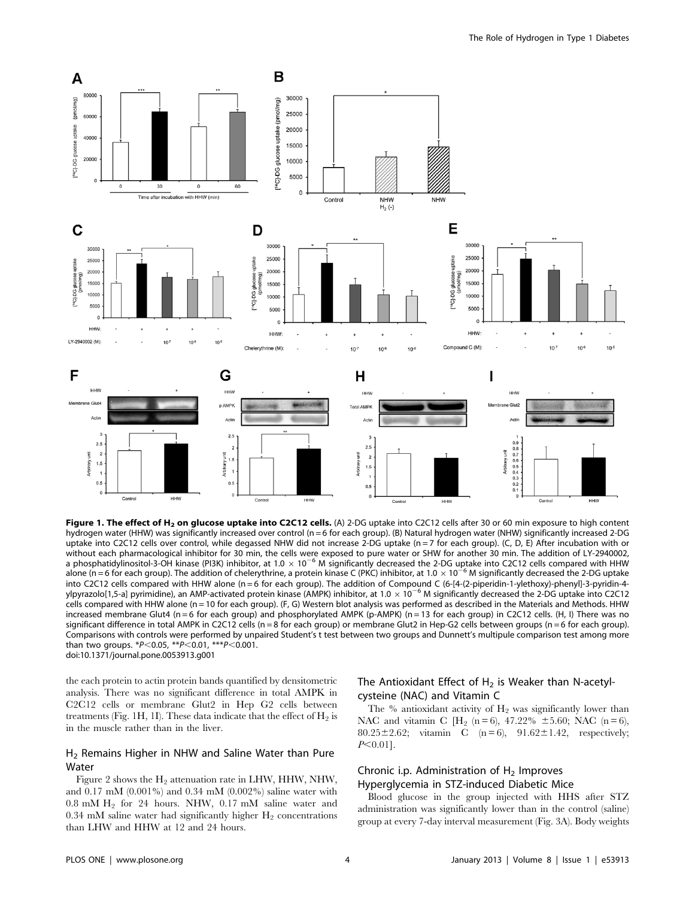

Figure 1. The effect of H<sub>2</sub> on glucose uptake into C2C12 cells. (A) 2-DG uptake into C2C12 cells after 30 or 60 min exposure to high content hydrogen water (HHW) was significantly increased over control (n = 6 for each group). (B) Natural hydrogen water (NHW) significantly increased 2-DG uptake into C2C12 cells over control, while degassed NHW did not increase 2-DG uptake (n = 7 for each group). (C, D, E) After incubation with or without each pharmacological inhibitor for 30 min, the cells were exposed to pure water or SHW for another 30 min. The addition of LY-2940002, a phosphatidylinositol-3-OH kinase (PI3K) inhibitor, at 1.0  $\times$  10<sup>-6</sup> M significantly decreased the 2-DG uptake into C2C12 cells compared with HHW alone (n = 6 for each group). The addition of chelerythrine, a protein kinase C (PKC) inhibitor, at 1.0  $\times$  10<sup>-6</sup> M significantly decreased the 2-DG uptake into C2C12 cells compared with HHW alone (n = 6 for each group). The addition of Compound C (6-[4-(2-piperidin-1-ylethoxy)-phenyl]-3-pyridin-4 ylpyrazolo[1,5-a] pyrimidine), an AMP-activated protein kinase (AMPK) inhibitor, at 1.0  $\times$  10<sup>-6</sup> M significantly decreased the 2-DG uptake into C2C12 cells compared with HHW alone (n = 10 for each group). (F, G) Western blot analysis was performed as described in the Materials and Methods. HHW increased membrane Glut4 (n = 6 for each group) and phosphorylated AMPK (p-AMPK) (n = 13 for each group) in C2C12 cells. (H, I) There was no significant difference in total AMPK in C2C12 cells (n = 8 for each group) or membrane Glut2 in Hep-G2 cells between groups (n = 6 for each group). Comparisons with controls were performed by unpaired Student's t test between two groups and Dunnett's multipule comparison test among more than two groups. \* $P<0.05$ , \*\* $P<0.01$ , \*\*\* $P<0.001$ . doi:10.1371/journal.pone.0053913.g001

the each protein to actin protein bands quantified by densitometric analysis. There was no significant difference in total AMPK in C2C12 cells or membrane Glut2 in Hep G2 cells between treatments (Fig. 1H, 1I). These data indicate that the effect of  $H_2$  is in the muscle rather than in the liver.

# H2 Remains Higher in NHW and Saline Water than Pure Water

Figure 2 shows the  $H_2$  attenuation rate in LHW, HHW, NHW, and 0.17 mM (0.001%) and 0.34 mM (0.002%) saline water with  $0.8 \text{ mM } H_2$  for 24 hours. NHW,  $0.17 \text{ mM }$  saline water and 0.34 mM saline water had significantly higher  $H_2$  concentrations than LHW and HHW at 12 and 24 hours.

# The Antioxidant Effect of  $H<sub>2</sub>$  is Weaker than N-acetylcysteine (NAC) and Vitamin C

The % antioxidant activity of  $H_2$  was significantly lower than NAC and vitamin C  $[H_2 (n=6), 47.22\% \pm 5.60; NAC (n=6),$ 80.25 $\pm$ 2.62; vitamin C (n = 6), 91.62 $\pm$ 1.42, respectively;  $P<0.01$ ].

# Chronic i.p. Administration of  $H_2$  Improves Hyperglycemia in STZ-induced Diabetic Mice

Blood glucose in the group injected with HHS after STZ administration was significantly lower than in the control (saline) group at every 7-day interval measurement (Fig. 3A). Body weights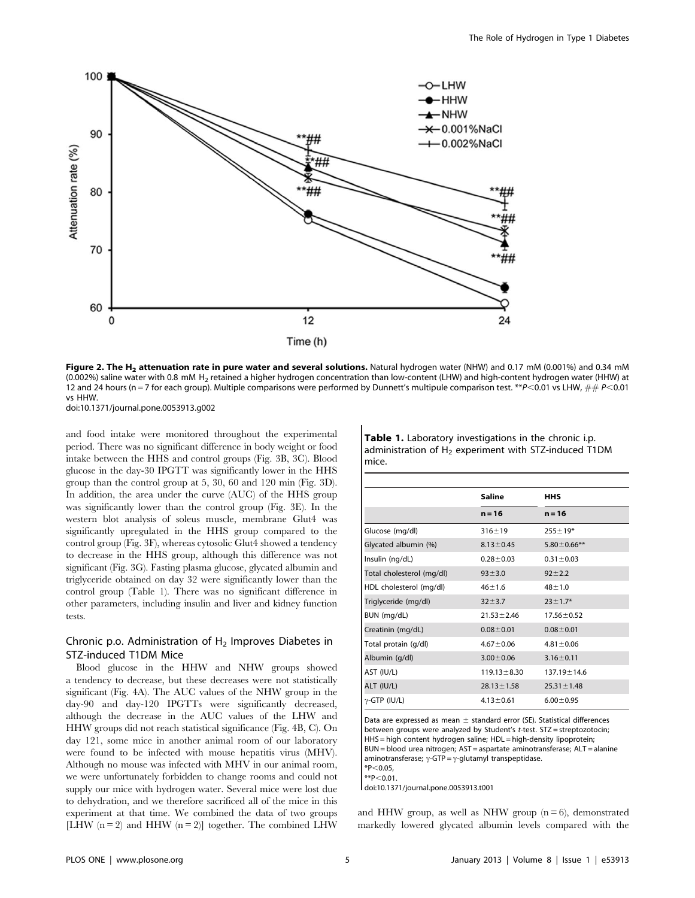

Figure 2. The H<sub>2</sub> attenuation rate in pure water and several solutions. Natural hydrogen water (NHW) and 0.17 mM (0.001%) and 0.34 mM (0.002%) saline water with 0.8 mM H<sub>2</sub> retained a higher hydrogen concentration than low-content (LHW) and high-content hydrogen water (HHW) at 12 and 24 hours (n = 7 for each group). Multiple comparisons were performed by Dunnett's multipule comparison test. \*\* $P$ <0.01 vs LHW,  $\#P$  <0.01 vs HHW.

doi:10.1371/journal.pone.0053913.g002

and food intake were monitored throughout the experimental period. There was no significant difference in body weight or food intake between the HHS and control groups (Fig. 3B, 3C). Blood glucose in the day-30 IPGTT was significantly lower in the HHS group than the control group at 5, 30, 60 and 120 min (Fig. 3D). In addition, the area under the curve (AUC) of the HHS group was significantly lower than the control group (Fig. 3E). In the western blot analysis of soleus muscle, membrane Glut4 was significantly upregulated in the HHS group compared to the control group (Fig. 3F), whereas cytosolic Glut4 showed a tendency to decrease in the HHS group, although this difference was not significant (Fig. 3G). Fasting plasma glucose, glycated albumin and triglyceride obtained on day 32 were significantly lower than the control group (Table 1). There was no significant difference in other parameters, including insulin and liver and kidney function tests.

# Chronic p.o. Administration of  $H_2$  Improves Diabetes in STZ-induced T1DM Mice

Blood glucose in the HHW and NHW groups showed a tendency to decrease, but these decreases were not statistically significant (Fig. 4A). The AUC values of the NHW group in the day-90 and day-120 IPGTTs were significantly decreased, although the decrease in the AUC values of the LHW and HHW groups did not reach statistical significance (Fig. 4B, C). On day 121, some mice in another animal room of our laboratory were found to be infected with mouse hepatitis virus (MHV). Although no mouse was infected with MHV in our animal room, we were unfortunately forbidden to change rooms and could not supply our mice with hydrogen water. Several mice were lost due to dehydration, and we therefore sacrificed all of the mice in this experiment at that time. We combined the data of two groups [LHW  $(n = 2)$  and HHW  $(n = 2)$ ] together. The combined LHW

Table 1. Laboratory investigations in the chronic i.p. administration of  $H_2$  experiment with STZ-induced T1DM mice.

|                           | <b>Saline</b>     | HHS                |  |
|---------------------------|-------------------|--------------------|--|
|                           | $n = 16$          | $n = 16$           |  |
| Glucose (mg/dl)           | $316 + 19$        | $255 + 19*$        |  |
| Glycated albumin (%)      | $8.13 \pm 0.45$   | $5.80 \pm 0.66$ ** |  |
| Insulin (ng/dL)           | $0.28 \pm 0.03$   | $0.31 \pm 0.03$    |  |
| Total cholesterol (mg/dl) | $93 + 3.0$        | $92 + 2.2$         |  |
| HDL cholesterol (mg/dl)   | $46 + 1.6$        | $48 + 1.0$         |  |
| Triglyceride (mg/dl)      | $32 + 3.7$        | $23 \pm 1.7*$      |  |
| BUN (mg/dL)               | $21.53 \pm 2.46$  | $17.56 \pm 0.52$   |  |
| Creatinin (mg/dL)         | $0.08 \pm 0.01$   | $0.08 \pm 0.01$    |  |
| Total protain (g/dl)      | $4.67 \pm 0.06$   | $4.81 \pm 0.06$    |  |
| Albumin (g/dl)            | $3.00 \pm 0.06$   | $3.16 \pm 0.11$    |  |
| AST (IU/L)                | $119.13 \pm 8.30$ | $137.19 \pm 14.6$  |  |
| ALT (IU/L)                | $28.13 \pm 1.58$  | $25.31 \pm 1.48$   |  |
| $\gamma$ -GTP (IU/L)      | $4.13 \pm 0.61$   | $6.00 \pm 0.95$    |  |

Data are expressed as mean  $\pm$  standard error (SE). Statistical differences between groups were analyzed by Student's t-test. STZ = streptozotocin; HHS = high content hydrogen saline; HDL = high-density lipoprotein; BUN = blood urea nitrogen; AST = aspartate aminotransferase; ALT = alanine aminotransferase;  $\gamma$ -GTP =  $\gamma$ -glutamyl transpeptidase.  $*P<0.05$ ,

 $*$  $P< 0.01$ 

doi:10.1371/journal.pone.0053913.t001

and HHW group, as well as NHW group  $(n = 6)$ , demonstrated markedly lowered glycated albumin levels compared with the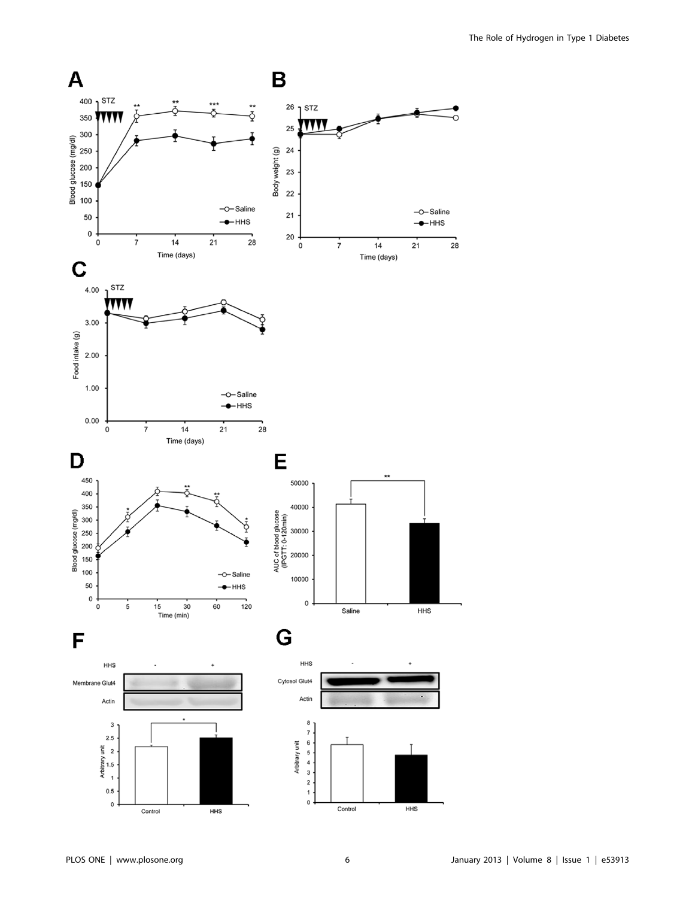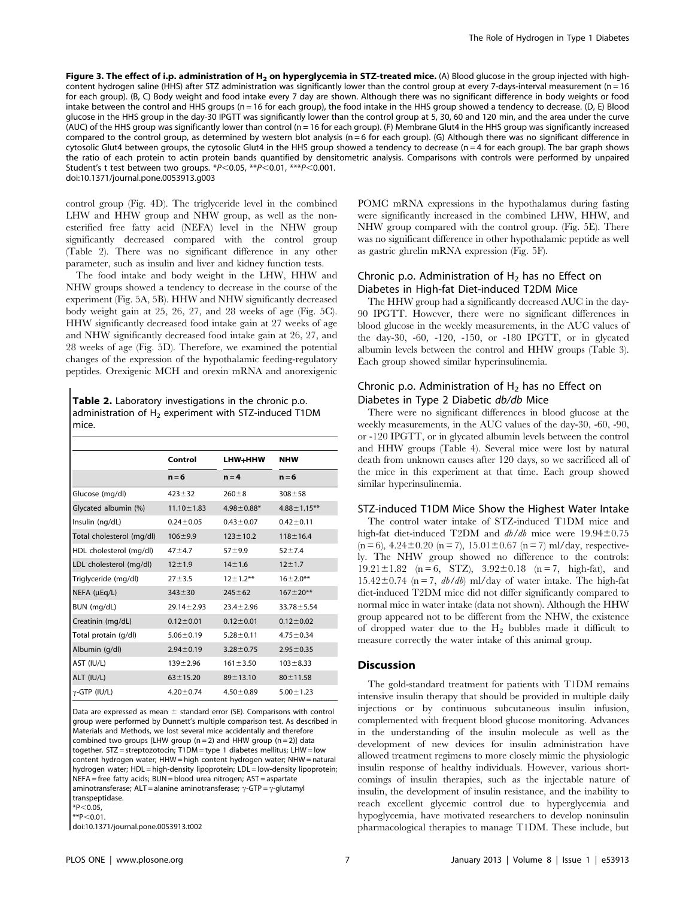Figure 3. The effect of i.p. administration of H<sub>2</sub> on hyperglycemia in STZ-treated mice. (A) Blood glucose in the group injected with highcontent hydrogen saline (HHS) after STZ administration was significantly lower than the control group at every 7-days-interval measurement (n = 16 for each group). (B, C) Body weight and food intake every 7 day are shown. Although there was no significant difference in body weights or food intake between the control and HHS groups (n = 16 for each group), the food intake in the HHS group showed a tendency to decrease. (D, E) Blood glucose in the HHS group in the day-30 IPGTT was significantly lower than the control group at 5, 30, 60 and 120 min, and the area under the curve (AUC) of the HHS group was significantly lower than control (n = 16 for each group). (F) Membrane Glut4 in the HHS group was significantly increased compared to the control group, as determined by western blot analysis (n = 6 for each group). (G) Although there was no significant difference in cytosolic Glut4 between groups, the cytosolic Glut4 in the HHS group showed a tendency to decrease ( $n=4$  for each group). The bar graph shows the ratio of each protein to actin protein bands quantified by densitometric analysis. Comparisons with controls were performed by unpaired Student's t test between two groups. \* $P$ <0.05, \*\* $P$ <0.01, \*\*\* $P$ <0.001. doi:10.1371/journal.pone.0053913.g003

control group (Fig. 4D). The triglyceride level in the combined LHW and HHW group and NHW group, as well as the nonesterified free fatty acid (NEFA) level in the NHW group significantly decreased compared with the control group (Table 2). There was no significant difference in any other parameter, such as insulin and liver and kidney function tests.

The food intake and body weight in the LHW, HHW and NHW groups showed a tendency to decrease in the course of the experiment (Fig. 5A, 5B). HHW and NHW significantly decreased body weight gain at 25, 26, 27, and 28 weeks of age (Fig. 5C). HHW significantly decreased food intake gain at 27 weeks of age and NHW significantly decreased food intake gain at 26, 27, and 28 weeks of age (Fig. 5D). Therefore, we examined the potential changes of the expression of the hypothalamic feeding-regulatory peptides. Orexigenic MCH and orexin mRNA and anorexigenic

Table 2. Laboratory investigations in the chronic p.o. administration of  $H<sub>2</sub>$  experiment with STZ-induced T1DM mice.

|                           | Control          | LHW+HHW           | <b>NHW</b>         |  |
|---------------------------|------------------|-------------------|--------------------|--|
|                           | $n = 6$          | $n = 4$           | $n = 6$            |  |
| Glucose (mg/dl)           | $423 + 32$       | $260 + 8$         | $308 + 58$         |  |
| Glycated albumin (%)      | $11.10 \pm 1.83$ | $4.98 \pm 0.88^*$ | $4.88 \pm 1.15***$ |  |
| Insulin (ng/dL)           | $0.24 \pm 0.05$  | $0.43 \pm 0.07$   | $0.42 \pm 0.11$    |  |
| Total cholesterol (mg/dl) | $106 + 9.9$      | $123 \pm 10.2$    | $118 + 16.4$       |  |
| HDL cholesterol (mg/dl)   | $47 + 4.7$       | $57 + 9.9$        | $52 + 7.4$         |  |
| LDL cholesterol (mg/dl)   | $12 + 1.9$       | $14 \pm 1.6$      | $12 + 1.7$         |  |
| Triglyceride (mg/dl)      | $27 + 3.5$       | $12 \pm 1.2***$   | $16 + 2.0**$       |  |
| NEFA (µEq/L)              | $343 + 30$       | $245 + 62$        | $167 \pm 20***$    |  |
| BUN (mg/dL)               | $29.14 \pm 2.93$ | $23.4 \pm 2.96$   | $33.78 \pm 5.54$   |  |
| Creatinin (mg/dL)         | $0.12 \pm 0.01$  | $0.12 \pm 0.01$   | $0.12 \pm 0.02$    |  |
| Total protain (g/dl)      | $5.06 \pm 0.19$  | $5.28 \pm 0.11$   | $4.75 \pm 0.34$    |  |
| Albumin (g/dl)            | $2.94 \pm 0.19$  | $3.28 \pm 0.75$   | $2.95 \pm 0.35$    |  |
| AST (IU/L)                | $139 + 2.96$     | $161 \pm 3.50$    | $103 \pm 8.33$     |  |
| ALT (IU/L)                | $63 \pm 15.20$   | $89 + 13.10$      | $80 \pm 11.58$     |  |
| $\gamma$ -GTP (IU/L)      | $4.20 \pm 0.74$  | $4.50 \pm 0.89$   | $5.00 \pm 1.23$    |  |

Data are expressed as mean  $\pm$  standard error (SE). Comparisons with control group were performed by Dunnett's multiple comparison test. As described in Materials and Methods, we lost several mice accidentally and therefore combined two groups [LHW group  $(n = 2)$  and HHW group  $(n = 2)$ ] data together. STZ = streptozotocin; T1DM = type 1 diabetes mellitus; LHW = low content hydrogen water; HHW = high content hydrogen water; NHW = natural hydrogen water; HDL = high-density lipoprotein; LDL = low-density lipoprotein; NEFA = free fatty acids; BUN = blood urea nitrogen; AST = aspartate aminotransferase; ALT = alanine aminotransferase;  $\gamma$ -GTP =  $\gamma$ -glutamyl transpeptidase.  $*P<0.05$ ,

 $*P<0.01$ .

doi:10.1371/journal.pone.0053913.t002

POMC mRNA expressions in the hypothalamus during fasting were significantly increased in the combined LHW, HHW, and NHW group compared with the control group. (Fig. 5E). There was no significant difference in other hypothalamic peptide as well as gastric ghrelin mRNA expression (Fig. 5F).

# Chronic p.o. Administration of  $H_2$  has no Effect on Diabetes in High-fat Diet-induced T2DM Mice

The HHW group had a significantly decreased AUC in the day-90 IPGTT. However, there were no significant differences in blood glucose in the weekly measurements, in the AUC values of the day-30, -60, -120, -150, or -180 IPGTT, or in glycated albumin levels between the control and HHW groups (Table 3). Each group showed similar hyperinsulinemia.

# Chronic p.o. Administration of  $H_2$  has no Effect on Diabetes in Type 2 Diabetic db/db Mice

There were no significant differences in blood glucose at the weekly measurements, in the AUC values of the day-30, -60, -90, or -120 IPGTT, or in glycated albumin levels between the control and HHW groups (Table 4). Several mice were lost by natural death from unknown causes after 120 days, so we sacrificed all of the mice in this experiment at that time. Each group showed similar hyperinsulinemia.

# STZ-induced T1DM Mice Show the Highest Water Intake

The control water intake of STZ-induced T1DM mice and high-fat diet-induced T2DM and  $db/db$  mice were  $19.94\pm0.75$  $(n = 6)$ , 4.24 $\pm$ 0.20 (n = 7), 15.01 $\pm$ 0.67 (n = 7) ml/day, respectively. The NHW group showed no difference to the controls:  $19.21 \pm 1.82$  (n = 6, STZ),  $3.92 \pm 0.18$  (n = 7, high-fat), and  $15.42\pm0.74$  (n = 7, *db/db*) ml/day of water intake. The high-fat diet-induced T2DM mice did not differ significantly compared to normal mice in water intake (data not shown). Although the HHW group appeared not to be different from the NHW, the existence of dropped water due to the  $H_2$  bubbles made it difficult to measure correctly the water intake of this animal group.

## **Discussion**

The gold-standard treatment for patients with T1DM remains intensive insulin therapy that should be provided in multiple daily injections or by continuous subcutaneous insulin infusion, complemented with frequent blood glucose monitoring. Advances in the understanding of the insulin molecule as well as the development of new devices for insulin administration have allowed treatment regimens to more closely mimic the physiologic insulin response of healthy individuals. However, various shortcomings of insulin therapies, such as the injectable nature of insulin, the development of insulin resistance, and the inability to reach excellent glycemic control due to hyperglycemia and hypoglycemia, have motivated researchers to develop noninsulin pharmacological therapies to manage T1DM. These include, but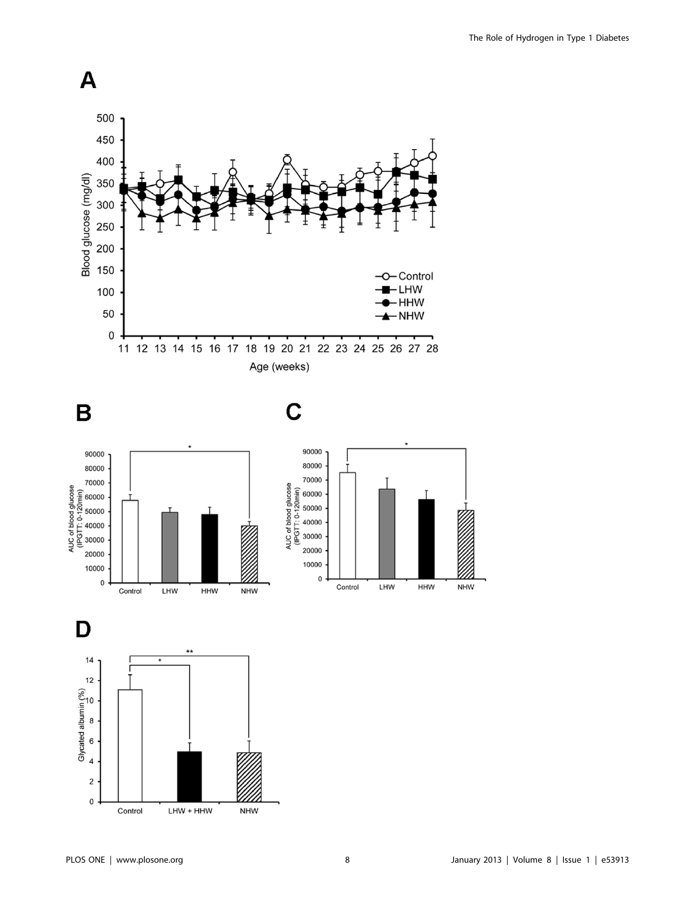









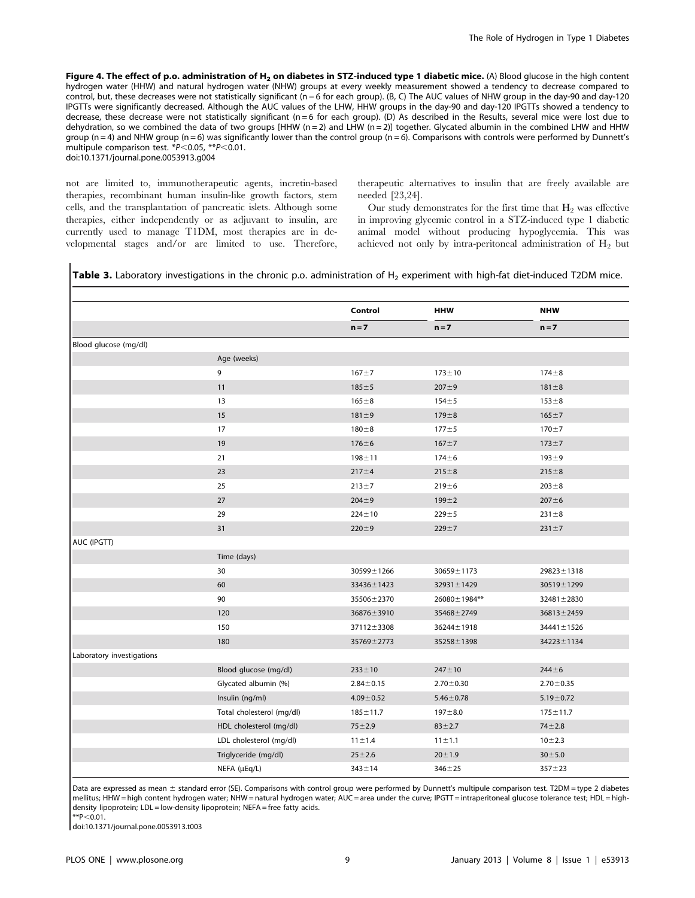Figure 4. The effect of p.o. administration of  $H_2$  on diabetes in STZ-induced type 1 diabetic mice. (A) Blood glucose in the high content hydrogen water (HHW) and natural hydrogen water (NHW) groups at every weekly measurement showed a tendency to decrease compared to control, but, these decreases were not statistically significant (n = 6 for each group). (B, C) The AUC values of NHW group in the day-90 and day-120 IPGTTs were significantly decreased. Although the AUC values of the LHW, HHW groups in the day-90 and day-120 IPGTTs showed a tendency to decrease, these decrease were not statistically significant (n = 6 for each group). (D) As described in the Results, several mice were lost due to dehydration, so we combined the data of two groups [HHW (n = 2) and LHW (n = 2)] together. Glycated albumin in the combined LHW and HHW group ( $n = 4$ ) and NHW group ( $n = 6$ ) was significantly lower than the control group ( $n = 6$ ). Comparisons with controls were performed by Dunnett's multipule comparison test. \* $P$ <0.05, \*\* $P$ <0.01.

doi:10.1371/journal.pone.0053913.g004

not are limited to, immunotherapeutic agents, incretin-based therapies, recombinant human insulin-like growth factors, stem cells, and the transplantation of pancreatic islets. Although some therapies, either independently or as adjuvant to insulin, are currently used to manage T1DM, most therapies are in developmental stages and/or are limited to use. Therefore, therapeutic alternatives to insulin that are freely available are needed [23,24].

Our study demonstrates for the first time that  $H_2$  was effective in improving glycemic control in a STZ-induced type 1 diabetic animal model without producing hypoglycemia. This was achieved not only by intra-peritoneal administration of  $H_2$  but

## Table 3. Laboratory investigations in the chronic p.o. administration of  $H_2$  experiment with high-fat diet-induced T2DM mice.

|                           |                           | Control          | <b>HHW</b>       | <b>NHW</b>       |
|---------------------------|---------------------------|------------------|------------------|------------------|
|                           |                           | $n = 7$          | $n = 7$          | $n = 7$          |
| Blood glucose (mg/dl)     |                           |                  |                  |                  |
|                           | Age (weeks)               |                  |                  |                  |
|                           | 9                         | $167 + 7$        | $173 + 10$       | $174 + 8$        |
|                           | 11                        | $185 + 5$        | $207 + 9$        | $181 \pm 8$      |
|                           | 13                        | $165 + 8$        | $154 + 5$        | $153 + 8$        |
|                           | 15                        | $181 + 9$        | $179 + 8$        | $165 + 7$        |
|                           | 17                        | $180 + 8$        | $177 + 5$        | $170 + 7$        |
|                           | 19                        | $176 + 6$        | $167 + 7$        | $173 + 7$        |
|                           | 21                        | $198 + 11$       | $174 + 6$        | $193 + 9$        |
|                           | 23                        | $217 + 4$        | $215 + 8$        | $215 + 8$        |
|                           | 25                        | $213 + 7$        | $219 + 6$        | $203 + 8$        |
|                           | 27                        | $204 + 9$        | $199 + 2$        | $207 + 6$        |
|                           | 29                        | $224 \pm 10$     | $229 + 5$        | $231 \pm 8$      |
|                           | 31                        | $220 + 9$        | $229 + 7$        | $231 \pm 7$      |
| AUC (IPGTT)               |                           |                  |                  |                  |
|                           | Time (days)               |                  |                  |                  |
|                           | 30                        | $30599 \pm 1266$ | $30659 \pm 1173$ | $29823 \pm 1318$ |
|                           | 60                        | 33436±1423       | $32931 \pm 1429$ | 30519 ± 1299     |
|                           | 90                        | 35506±2370       | 26080±1984**     | $32481 \pm 2830$ |
|                           | 120                       | 36876±3910       | 35468±2749       | $36813 \pm 2459$ |
|                           | 150                       | $37112 \pm 3308$ | $36244 \pm 1918$ | $34441 \pm 1526$ |
|                           | 180                       | 35769 ± 2773     | $35258 \pm 1398$ | $34223 \pm 1134$ |
| Laboratory investigations |                           |                  |                  |                  |
|                           | Blood glucose (mg/dl)     | $233 + 10$       | $247 + 10$       | $244 + 6$        |
|                           | Glycated albumin (%)      | $2.84 \pm 0.15$  | $2.70 \pm 0.30$  | $2.70 \pm 0.35$  |
|                           | Insulin (ng/ml)           | $4.09 \pm 0.52$  | $5.46 \pm 0.78$  | $5.19 \pm 0.72$  |
|                           | Total cholesterol (mg/dl) | $185 + 11.7$     | $197 + 8.0$      | $175 \pm 11.7$   |
|                           | HDL cholesterol (mg/dl)   | $75 + 2.9$       | $83 + 2.7$       | $74 + 2.8$       |
|                           | LDL cholesterol (mg/dl)   | $11 \pm 1.4$     | $11 \pm 1.1$     | $10 + 2.3$       |
|                           | Triglyceride (mg/dl)      | $25 + 2.6$       | $20 + 1.9$       | $30 + 5.0$       |
|                           | NEFA (µEq/L)              | $343 \pm 14$     | $346 + 25$       | $357 + 23$       |

Data are expressed as mean  $\pm$  standard error (SE). Comparisons with control group were performed by Dunnett's multipule comparison test. T2DM = type 2 diabetes mellitus; HHW = high content hydrogen water; NHW = natural hydrogen water; AUC = area under the curve; IPGTT = intraperitoneal glucose tolerance test; HDL = highdensity lipoprotein; LDL = low-density lipoprotein; NEFA = free fatty acids.

 $*P<0.01$ .

doi:10.1371/journal.pone.0053913.t003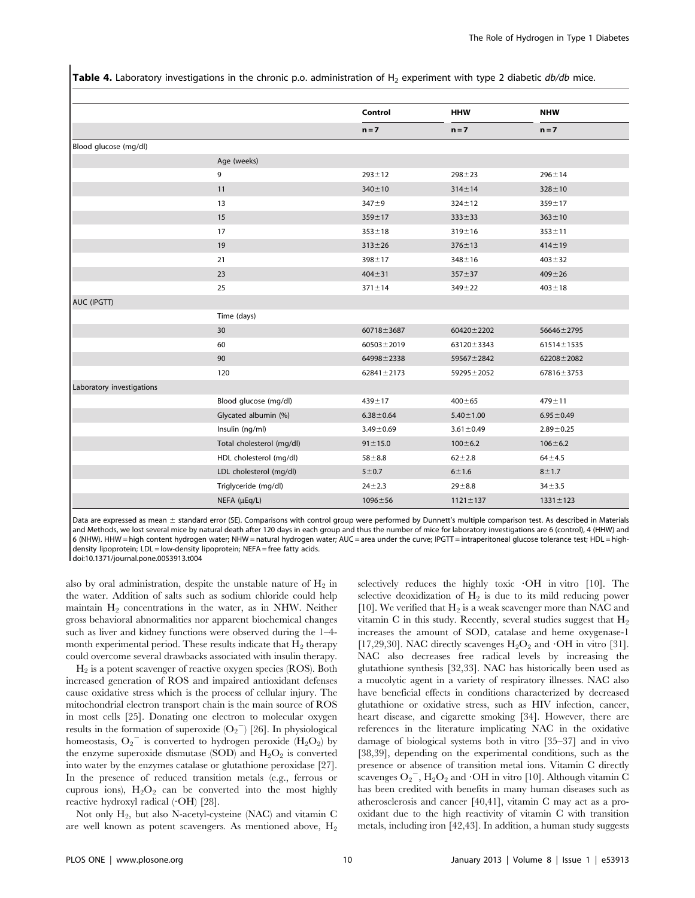Table 4. Laboratory investigations in the chronic p.o. administration of  $H_2$  experiment with type 2 diabetic db/db mice.

|                           |                           | Control          | <b>HHW</b>       | <b>NHW</b>       |
|---------------------------|---------------------------|------------------|------------------|------------------|
|                           |                           | $n = 7$          | $n = 7$          | $n = 7$          |
| Blood glucose (mg/dl)     |                           |                  |                  |                  |
|                           | Age (weeks)               |                  |                  |                  |
|                           | 9                         | $293 \pm 12$     | $298 + 23$       | $296 + 14$       |
|                           | 11                        | $340 \pm 10$     | $314 \pm 14$     | $328 + 10$       |
|                           | 13                        | $347 + 9$        | $324 \pm 12$     | $359 + 17$       |
|                           | 15                        | $359 + 17$       | $333 \pm 33$     | $363 \pm 10$     |
|                           | 17                        | $353 \pm 18$     | $319 + 16$       | $353 \pm 11$     |
|                           | 19                        | $313 \pm 26$     | $376 \pm 13$     | $414 \pm 19$     |
|                           | 21                        | $398 + 17$       | $348 \pm 16$     | $403 \pm 32$     |
|                           | 23                        | $404 + 31$       | $357 + 37$       | $409 + 26$       |
|                           | 25                        | $371 \pm 14$     | $349 + 22$       | $403 \pm 18$     |
| AUC (IPGTT)               |                           |                  |                  |                  |
|                           | Time (days)               |                  |                  |                  |
|                           | 30                        | 60718±3687       | $60420 \pm 2202$ | $56646 \pm 2795$ |
|                           | 60                        | $60503 \pm 2019$ | 63120±3343       | $61514 \pm 1535$ |
|                           | 90                        | 64998±2338       | $59567 \pm 2842$ | $62208 \pm 2082$ |
|                           | 120                       | $62841 \pm 2173$ | $59295 \pm 2052$ | $67816 \pm 3753$ |
| Laboratory investigations |                           |                  |                  |                  |
|                           | Blood glucose (mg/dl)     | $439 + 17$       | $400 + 65$       | $479 + 11$       |
|                           | Glycated albumin (%)      | $6.38 \pm 0.64$  | $5.40 \pm 1.00$  | $6.95 \pm 0.49$  |
|                           | Insulin (ng/ml)           | $3.49 \pm 0.69$  | $3.61 \pm 0.49$  | $2.89 \pm 0.25$  |
|                           | Total cholesterol (mg/dl) | $91 \pm 15.0$    | $100 \pm 6.2$    | $106 + 6.2$      |
|                           | HDL cholesterol (mg/dl)   | $58 + 8.8$       | $62 + 2.8$       | $64 + 4.5$       |
|                           | LDL cholesterol (mg/dl)   | $5 + 0.7$        | 6±1.6            | $8 + 1.7$        |
|                           | Triglyceride (mg/dl)      | $24 + 2.3$       | $29 + 8.8$       | $34 + 3.5$       |
|                           | NEFA (µEq/L)              | $1096 \pm 56$    | $1121 \pm 137$   | $1331 \pm 123$   |

Data are expressed as mean ± standard error (SE). Comparisons with control group were performed by Dunnett's multiple comparison test. As described in Materials and Methods, we lost several mice by natural death after 120 days in each group and thus the number of mice for laboratory investigations are 6 (control), 4 (HHW) and 6 (NHW). HHW = high content hydrogen water; NHW = natural hydrogen water; AUC = area under the curve; IPGTT = intraperitoneal glucose tolerance test; HDL = highdensity lipoprotein; LDL = low-density lipoprotein; NEFA = free fatty acids. doi:10.1371/journal.pone.0053913.t004

also by oral administration, despite the unstable nature of  $H_2$  in the water. Addition of salts such as sodium chloride could help maintain  $H_2$  concentrations in the water, as in NHW. Neither gross behavioral abnormalities nor apparent biochemical changes such as liver and kidney functions were observed during the 1–4 month experimental period. These results indicate that  $H_2$  therapy could overcome several drawbacks associated with insulin therapy.

 $H_2$  is a potent scavenger of reactive oxygen species (ROS). Both increased generation of ROS and impaired antioxidant defenses cause oxidative stress which is the process of cellular injury. The mitochondrial electron transport chain is the main source of ROS in most cells [25]. Donating one electron to molecular oxygen results in the formation of superoxide  $(O_2$ <sup>-</sup>) [26]. In physiological homeostasis,  $O_2$ <sup>-</sup> is converted to hydrogen peroxide  $(H_2O_2)$  by the enzyme superoxide dismutase (SOD) and  $H_2O_2$  is converted into water by the enzymes catalase or glutathione peroxidase [27]. In the presence of reduced transition metals (e.g., ferrous or cuprous ions),  $H_2O_2$  can be converted into the most highly reactive hydroxyl radical  $(°OH)$  [28].

Not only  $H_2$ , but also N-acetyl-cysteine (NAC) and vitamin C are well known as potent scavengers. As mentioned above,  $H_2$  selectively reduces the highly toxic  $\cdot$ OH in vitro [10]. The selective deoxidization of  $H_2$  is due to its mild reducing power [10]. We verified that  $H_2$  is a weak scavenger more than NAC and vitamin C in this study. Recently, several studies suggest that  $H_2$ increases the amount of SOD, catalase and heme oxygenase-1 [17,29,30]. NAC directly scavenges  $H_2O_2$  and  $\cdot$ OH in vitro [31]. NAC also decreases free radical levels by increasing the glutathione synthesis [32,33]. NAC has historically been used as a mucolytic agent in a variety of respiratory illnesses. NAC also have beneficial effects in conditions characterized by decreased glutathione or oxidative stress, such as HIV infection, cancer, heart disease, and cigarette smoking [34]. However, there are references in the literature implicating NAC in the oxidative damage of biological systems both in vitro [35–37] and in vivo [38,39], depending on the experimental conditions, such as the presence or absence of transition metal ions. Vitamin C directly scavenges  $O_2$ <sup>-</sup>,  $H_2O_2$  and  $\cdot$ OH in vitro [10]. Although vitamin  $C$ has been credited with benefits in many human diseases such as atherosclerosis and cancer [40,41], vitamin C may act as a prooxidant due to the high reactivity of vitamin C with transition metals, including iron [42,43]. In addition, a human study suggests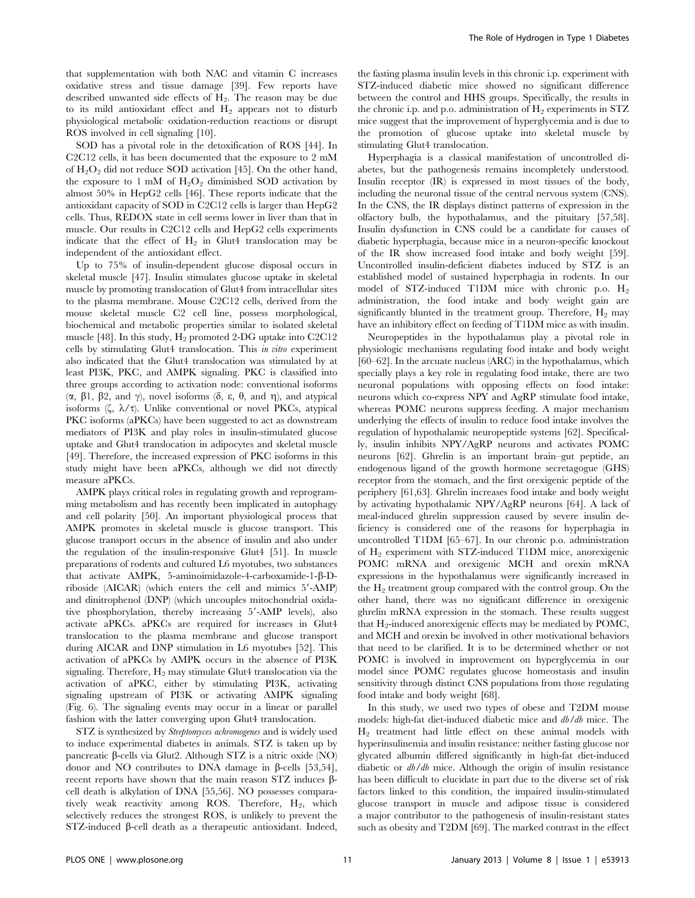that supplementation with both NAC and vitamin C increases oxidative stress and tissue damage [39]. Few reports have described unwanted side effects of H2. The reason may be due to its mild antioxidant effect and  $H_2$  appears not to disturb physiological metabolic oxidation-reduction reactions or disrupt ROS involved in cell signaling [10].

SOD has a pivotal role in the detoxification of ROS [44]. In C2C12 cells, it has been documented that the exposure to 2 mM of  $H_2O_2$  did not reduce SOD activation [45]. On the other hand, the exposure to 1 mM of  $H_2O_2$  diminished SOD activation by almost 50% in HepG2 cells [46]. These reports indicate that the antioxidant capacity of SOD in C2C12 cells is larger than HepG2 cells. Thus, REDOX state in cell seems lower in liver than that in muscle. Our results in C2C12 cells and HepG2 cells experiments indicate that the effect of  $H_2$  in Glut4 translocation may be independent of the antioxidant effect.

Up to 75% of insulin-dependent glucose disposal occurs in skeletal muscle [47]. Insulin stimulates glucose uptake in skeletal muscle by promoting translocation of Glut4 from intracellular sites to the plasma membrane. Mouse C2C12 cells, derived from the mouse skeletal muscle C2 cell line, possess morphological, biochemical and metabolic properties similar to isolated skeletal muscle [48]. In this study,  $H_2$  promoted 2-DG uptake into C2C12 cells by stimulating Glut4 translocation. This in vitro experiment also indicated that the Glut4 translocation was stimulated by at least PI3K, PKC, and AMPK signaling. PKC is classified into three groups according to activation node: conventional isoforms  $(\alpha, \beta1, \beta2, \text{ and } \gamma)$ , novel isoforms  $(\delta, \varepsilon, \theta, \text{ and } \eta)$ , and atypical isoforms  $(\zeta, \lambda/\tau)$ . Unlike conventional or novel PKCs, atypical PKC isoforms (aPKCs) have been suggested to act as downstream mediators of PI3K and play roles in insulin-stimulated glucose uptake and Glut4 translocation in adipocytes and skeletal muscle [49]. Therefore, the increased expression of PKC isoforms in this study might have been aPKCs, although we did not directly measure aPKCs.

AMPK plays critical roles in regulating growth and reprogramming metabolism and has recently been implicated in autophagy and cell polarity [50]. An important physiological process that AMPK promotes in skeletal muscle is glucose transport. This glucose transport occurs in the absence of insulin and also under the regulation of the insulin-responsive Glut4 [51]. In muscle preparations of rodents and cultured L6 myotubes, two substances that activate AMPK, 5-aminoimidazole-4-carboxamide-1-β-Driboside (AICAR) (which enters the cell and mimics  $5'$ -AMP) and dinitrophenol (DNP) (which uncouples mitochondrial oxidative phosphorylation, thereby increasing 5'-AMP levels), also activate aPKCs. aPKCs are required for increases in Glut4 translocation to the plasma membrane and glucose transport during AICAR and DNP stimulation in L6 myotubes [52]. This activation of aPKCs by AMPK occurs in the absence of PI3K signaling. Therefore,  $H_2$  may stimulate Glut4 translocation via the activation of aPKC, either by stimulating PI3K, activating signaling upstream of PI3K or activating AMPK signaling (Fig. 6). The signaling events may occur in a linear or parallel fashion with the latter converging upon Glut4 translocation.

STZ is synthesized by Streptomyces achromogenes and is widely used to induce experimental diabetes in animals. STZ is taken up by pancreatic  $\beta$ -cells via Glut2. Although STZ is a nitric oxide (NO) donor and NO contributes to DNA damage in  $\beta$ -cells [53,54], recent reports have shown that the main reason STZ induces bcell death is alkylation of DNA [55,56]. NO possesses comparatively weak reactivity among ROS. Therefore, H<sub>2</sub>, which selectively reduces the strongest ROS, is unlikely to prevent the STZ-induced β-cell death as a therapeutic antioxidant. Indeed, the fasting plasma insulin levels in this chronic i.p. experiment with STZ-induced diabetic mice showed no significant difference between the control and HHS groups. Specifically, the results in the chronic i.p. and p.o. administration of  $H_2$  experiments in STZ mice suggest that the improvement of hyperglycemia and is due to the promotion of glucose uptake into skeletal muscle by stimulating Glut4 translocation.

Hyperphagia is a classical manifestation of uncontrolled diabetes, but the pathogenesis remains incompletely understood. Insulin receptor (IR) is expressed in most tissues of the body, including the neuronal tissue of the central nervous system (CNS). In the CNS, the IR displays distinct patterns of expression in the olfactory bulb, the hypothalamus, and the pituitary [57,58]. Insulin dysfunction in CNS could be a candidate for causes of diabetic hyperphagia, because mice in a neuron-specific knockout of the IR show increased food intake and body weight [59]. Uncontrolled insulin-deficient diabetes induced by STZ is an established model of sustained hyperphagia in rodents. In our model of STZ-induced T1DM mice with chronic p.o. H2 administration, the food intake and body weight gain are significantly blunted in the treatment group. Therefore,  $H_2$  may have an inhibitory effect on feeding of T1DM mice as with insulin.

Neuropeptides in the hypothalamus play a pivotal role in physiologic mechanisms regulating food intake and body weight [60–62]. In the arcuate nucleus (ARC) in the hypothalamus, which specially plays a key role in regulating food intake, there are two neuronal populations with opposing effects on food intake: neurons which co-express NPY and AgRP stimulate food intake, whereas POMC neurons suppress feeding. A major mechanism underlying the effects of insulin to reduce food intake involves the regulation of hypothalamic neuropeptide systems [62]. Specifically, insulin inhibits NPY/AgRP neurons and activates POMC neurons [62]. Ghrelin is an important brain–gut peptide, an endogenous ligand of the growth hormone secretagogue (GHS) receptor from the stomach, and the first orexigenic peptide of the periphery [61,63]. Ghrelin increases food intake and body weight by activating hypothalamic NPY/AgRP neurons [64]. A lack of meal-induced ghrelin suppression caused by severe insulin deficiency is considered one of the reasons for hyperphagia in uncontrolled T1DM [65–67]. In our chronic p.o. administration of H2 experiment with STZ-induced T1DM mice, anorexigenic POMC mRNA and orexigenic MCH and orexin mRNA expressions in the hypothalamus were significantly increased in the  $H_2$  treatment group compared with the control group. On the other hand, there was no significant difference in orexigenic ghrelin mRNA expression in the stomach. These results suggest that  $H_2$ -induced anorexigenic effects may be mediated by POMC, and MCH and orexin be involved in other motivational behaviors that need to be clarified. It is to be determined whether or not POMC is involved in improvement on hyperglycemia in our model since POMC regulates glucose homeostasis and insulin sensitivity through distinct CNS populations from those regulating food intake and body weight [68].

In this study, we used two types of obese and T2DM mouse models: high-fat diet-induced diabetic mice and db/db mice. The  $H<sub>2</sub>$  treatment had little effect on these animal models with hyperinsulinemia and insulin resistance: neither fasting glucose nor glycated albumin differed significantly in high-fat diet-induced diabetic or  $db/db$  mice. Although the origin of insulin resistance has been difficult to elucidate in part due to the diverse set of risk factors linked to this condition, the impaired insulin-stimulated glucose transport in muscle and adipose tissue is considered a major contributor to the pathogenesis of insulin-resistant states such as obesity and T2DM [69]. The marked contrast in the effect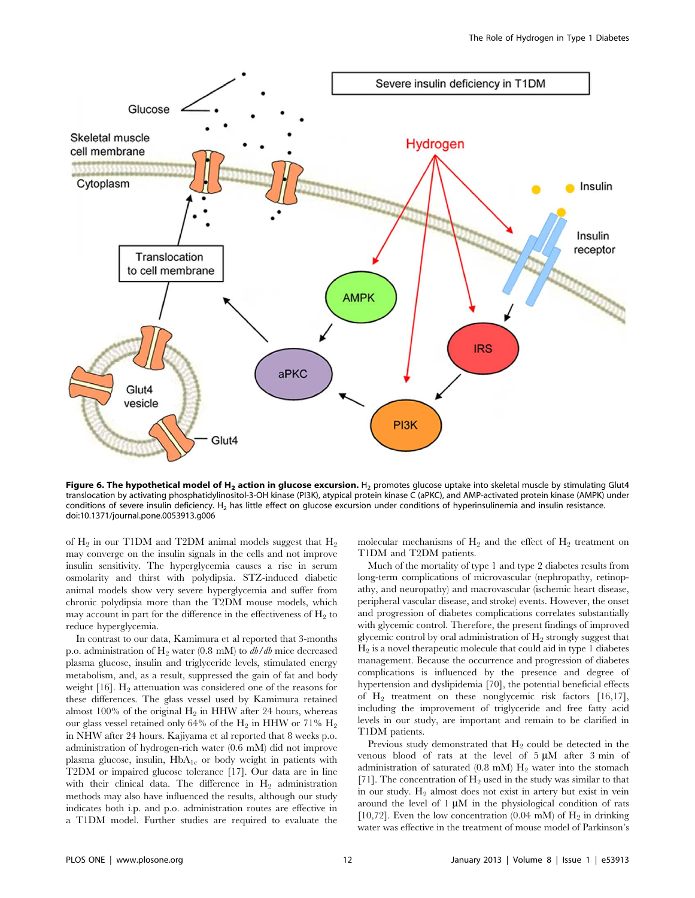

Figure 6. The hypothetical model of H<sub>2</sub> action in glucose excursion. H<sub>2</sub> promotes glucose uptake into skeletal muscle by stimulating Glut4 translocation by activating phosphatidylinositol-3-OH kinase (PI3K), atypical protein kinase C (aPKC), and AMP-activated protein kinase (AMPK) under conditions of severe insulin deficiency. H<sub>2</sub> has little effect on glucose excursion under conditions of hyperinsulinemia and insulin resistance. doi:10.1371/journal.pone.0053913.g006

of  $H_2$  in our T1DM and T2DM animal models suggest that  $H_2$ may converge on the insulin signals in the cells and not improve insulin sensitivity. The hyperglycemia causes a rise in serum osmolarity and thirst with polydipsia. STZ-induced diabetic animal models show very severe hyperglycemia and suffer from chronic polydipsia more than the T2DM mouse models, which may account in part for the difference in the effectiveness of  $H_2$  to reduce hyperglycemia.

In contrast to our data, Kamimura et al reported that 3-months p.o. administration of  $H_2$  water (0.8 mM) to  $db/db$  mice decreased plasma glucose, insulin and triglyceride levels, stimulated energy metabolism, and, as a result, suppressed the gain of fat and body weight [16].  $H_2$  attenuation was considered one of the reasons for these differences. The glass vessel used by Kamimura retained almost 100% of the original  $H_2$  in HHW after 24 hours, whereas our glass vessel retained only 64% of the  $H_2$  in HHW or 71%  $H_2$ in NHW after 24 hours. Kajiyama et al reported that 8 weeks p.o. administration of hydrogen-rich water (0.6 mM) did not improve plasma glucose, insulin,  $HbA_{1c}$  or body weight in patients with T2DM or impaired glucose tolerance [17]. Our data are in line with their clinical data. The difference in  $H_2$  administration methods may also have influenced the results, although our study indicates both i.p. and p.o. administration routes are effective in a T1DM model. Further studies are required to evaluate the molecular mechanisms of  $H_2$  and the effect of  $H_2$  treatment on T1DM and T2DM patients.

Much of the mortality of type 1 and type 2 diabetes results from long-term complications of microvascular (nephropathy, retinopathy, and neuropathy) and macrovascular (ischemic heart disease, peripheral vascular disease, and stroke) events. However, the onset and progression of diabetes complications correlates substantially with glycemic control. Therefore, the present findings of improved glycemic control by oral administration of  $H_2$  strongly suggest that  $H_2$  is a novel therapeutic molecule that could aid in type 1 diabetes management. Because the occurrence and progression of diabetes complications is influenced by the presence and degree of hypertension and dyslipidemia [70], the potential beneficial effects of  $H_2$  treatment on these nonglycemic risk factors [16,17], including the improvement of triglyceride and free fatty acid levels in our study, are important and remain to be clarified in T1DM patients.

Previous study demonstrated that  $H_2$  could be detected in the venous blood of rats at the level of  $5 \mu M$  after  $3 \text{ min}$  of administration of saturated  $(0.8 \text{ mM}) \text{ H}_2$  water into the stomach [71]. The concentration of  $H_2$  used in the study was similar to that in our study.  $H_2$  almost does not exist in artery but exist in vein around the level of  $1 \mu M$  in the physiological condition of rats [10,72]. Even the low concentration (0.04 mM) of  $H_2$  in drinking water was effective in the treatment of mouse model of Parkinson's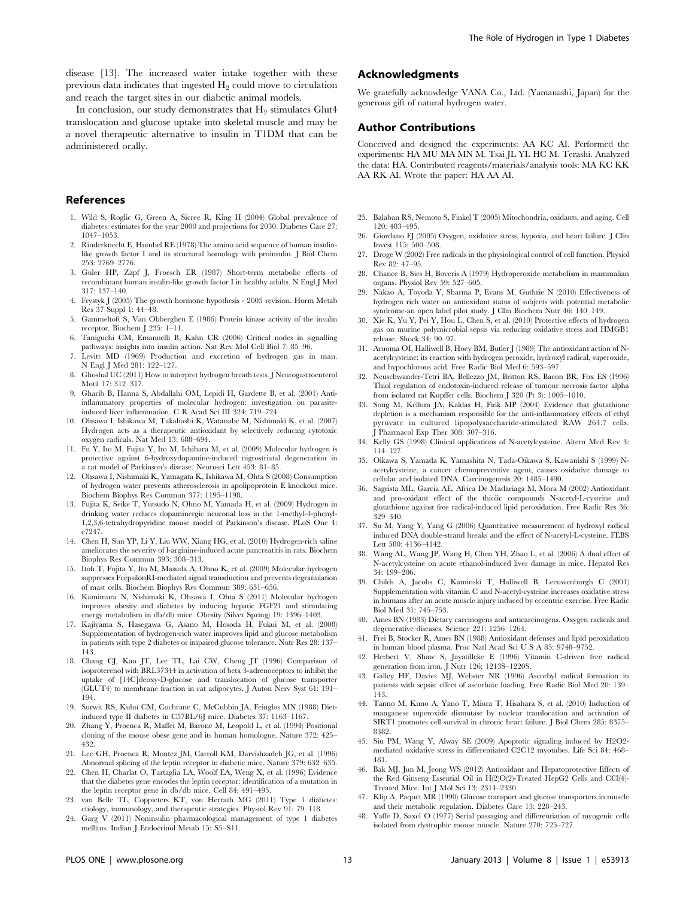disease [13]. The increased water intake together with these previous data indicates that ingested  $H_2$  could move to circulation and reach the target sites in our diabetic animal models.

In conclusion, our study demonstrates that  $H_2$  stimulates Glut4 translocation and glucose uptake into skeletal muscle and may be a novel therapeutic alternative to insulin in T1DM that can be administered orally.

#### References

- 1. Wild S, Roglic G, Green A, Sicree R, King H (2004) Global prevalence of diabetes: estimates for the year 2000 and projections for 2030. Diabetes Care 27: 1047–1053.
- 2. Rinderknecht E, Humbel RE (1978) The amino acid sequence of human insulinlike growth factor I and its structural homology with proinsulin. J Biol Chem 253: 2769–2776.
- 3. Guler HP, Zapf J, Froesch ER (1987) Short-term metabolic effects of recombinant human insulin-like growth factor I in healthy adults. N Engl J Med 317: 137–140.
- 4. Frystyk J (2005) The growth hormone hypothesis 2005 revision. Horm Metab Res 37 Suppl 1: 44–48.
- 5. Gammeltoft S, Van Obberghen E (1986) Protein kinase activity of the insulin receptor. Biochem J 235: 1–11.
- 6. Taniguchi CM, Emanuelli B, Kahn CR (2006) Critical nodes in signalling pathways: insights into insulin action. Nat Rev Mol Cell Biol 7: 85–96.
- 7. Levitt MD (1969) Production and excretion of hydrogen gas in man. N Engl J Med 281: 122–127.
- 8. Ghoshal UC (2011) How to interpret hydrogen breath tests. J Neurogastroenterol Motil 17: 312–317.
- 9. Gharib B, Hanna S, Abdallahi OM, Lepidi H, Gardette B, et al. (2001) Antiinflammatory properties of molecular hydrogen: investigation on parasiteinduced liver inflammation. C R Acad Sci III 324: 719–724.
- 10. Ohsawa I, Ishikawa M, Takahashi K, Watanabe M, Nishimaki K, et al. (2007) Hydrogen acts as a therapeutic antioxidant by selectively reducing cytotoxic oxygen radicals. Nat Med 13: 688–694.
- 11. Fu Y, Ito M, Fujita Y, Ito M, Ichihara M, et al. (2009) Molecular hydrogen is protective against 6-hydroxydopamine-induced nigrostriatal degeneration in a rat model of Parkinson's disease. Neurosci Lett 453: 81–85.
- 12. Ohsawa I, Nishimaki K, Yamagata K, Ishikawa M, Ohta S (2008) Consumption of hydrogen water prevents atherosclerosis in apolipoprotein E knockout mice. Biochem Biophys Res Commun 377: 1195–1198.
- 13. Fujita K, Seike T, Yutsudo N, Ohno M, Yamada H, et al. (2009) Hydrogen in drinking water reduces dopaminergic neuronal loss in the 1-methyl-4-phenyl-1,2,3,6-tetrahydropyridine mouse model of Parkinson's disease. PLoS One 4: e7247.
- 14. Chen H, Sun YP, Li Y, Liu WW, Xiang HG, et al. (2010) Hydrogen-rich saline ameliorates the severity of l-arginine-induced acute pancreatitis in rats. Biochem Biophys Res Commun 393: 308–313.
- 15. Itoh T, Fujita Y, Ito M, Masuda A, Ohno K, et al. (2009) Molecular hydrogen suppresses FcepsilonRI-mediated signal transduction and prevents degranulation of mast cells. Biochem Biophys Res Commun 389: 651–656.
- 16. Kamimura N, Nishimaki K, Ohsawa I, Ohta S (2011) Molecular hydrogen improves obesity and diabetes by inducing hepatic FGF21 and stimulating energy metabolism in db/db mice. Obesity (Silver Spring) 19: 1396–1403.
- 17. Kajiyama S, Hasegawa G, Asano M, Hosoda H, Fukui M, et al. (2008) Supplementation of hydrogen-rich water improves lipid and glucose metabolism in patients with type 2 diabetes or impaired glucose tolerance. Nutr Res 28: 137– 143.
- 18. Chang CJ, Kao JT, Lee TL, Lai CW, Cheng JT (1996) Comparison of isoproterenol with BRL37344 in activation of beta 3-adrenoceptors to inhibit the uptake of [14C]deoxy-D-glucose and translocation of glucose transporter (GLUT4) to membrane fraction in rat adipocytes. J Auton Nerv Syst 61: 191– 194.
- 19. Surwit RS, Kuhn CM, Cochrane C, McCubbin JA, Feinglos MN (1988) Dietinduced type II diabetes in C57BL/6J mice. Diabetes 37: 1163–1167.
- 20. Zhang Y, Proenca R, Maffei M, Barone M, Leopold L, et al. (1994) Positional cloning of the mouse obese gene and its human homologue. Nature 372: 425– 432.
- 21. Lee GH, Proenca R, Montez JM, Carroll KM, Darvishzadeh JG, et al. (1996) Abnormal splicing of the leptin receptor in diabetic mice. Nature 379: 632–635.
- 22. Chen H, Charlat O, Tartaglia LA, Woolf EA, Weng X, et al. (1996) Evidence that the diabetes gene encodes the leptin receptor: identification of a mutation in the leptin receptor gene in db/db mice. Cell 84: 491–495.
- 23. van Belle TL, Coppieters KT, von Herrath MG (2011) Type 1 diabetes: etiology, immunology, and therapeutic strategies. Physiol Rev 91: 79–118.
- 24. Garg V (2011) Noninsulin pharmacological management of type 1 diabetes mellitus. Indian J Endocrinol Metab 15: S5–S11.

# Acknowledgments

We gratefully acknowledge VANA Co., Ltd. (Yamanashi, Japan) for the generous gift of natural hydrogen water.

## Author Contributions

Conceived and designed the experiments: AA KC AI. Performed the experiments: HA MU MA MN M. Tsai JL YL HC M. Terashi. Analyzed the data: HA. Contributed reagents/materials/analysis tools: MA KC KK AA RK AI. Wrote the paper: HA AA AI.

- 25. Balaban RS, Nemoto S, Finkel T (2005) Mitochondria, oxidants, and aging. Cell 120: 483–495.
- 26. Giordano FJ (2005) Oxygen, oxidative stress, hypoxia, and heart failure. J Clin Invest 115: 500–508.
- 27. Droge W (2002) Free radicals in the physiological control of cell function. Physiol Rev 82: 47–95.
- 28. Chance B, Sies H, Boveris A (1979) Hydroperoxide metabolism in mammalian organs. Physiol Rev 59: 527–605.
- 29. Nakao A, Toyoda Y, Sharma P, Evans M, Guthrie N (2010) Effectiveness of hydrogen rich water on antioxidant status of subjects with potential metabolic syndrome-an open label pilot study. J Clin Biochem Nutr 46: 140–149.
- 30. Xie K, Yu Y, Pei Y, Hou L, Chen S, et al. (2010) Protective effects of hydrogen gas on murine polymicrobial sepsis via reducing oxidative stress and HMGB1 release. Shock 34: 90–97.
- 31. Aruoma OI, Halliwell B, Hoey BM, Butler J (1989) The antioxidant action of Nacetylcysteine: its reaction with hydrogen peroxide, hydroxyl radical, superoxide, and hypochlorous acid. Free Radic Biol Med 6: 593–597.
- 32. Neuschwander-Tetri BA, Bellezzo JM, Britton RS, Bacon BR, Fox ES (1996) Thiol regulation of endotoxin-induced release of tumour necrosis factor alpha from isolated rat Kupffer cells. Biochem J 320 (Pt 3): 1005–1010.
- 33. Song M, Kellum JA, Kaldas H, Fink MP (2004) Evidence that glutathione depletion is a mechanism responsible for the anti-inflammatory effects of ethyl pyruvate in cultured lipopolysaccharide-stimulated RAW 264.7 cells. J Pharmacol Exp Ther 308: 307–316.
- 34. Kelly GS (1998) Clinical applications of N-acetylcysteine. Altern Med Rev 3: 114–127.
- 35. Oikawa S, Yamada K, Yamashita N, Tada-Oikawa S, Kawanishi S (1999) Nacetylcysteine, a cancer chemopreventive agent, causes oxidative damage to cellular and isolated DNA. Carcinogenesis 20: 1485–1490.
- 36. Sagrista ML, Garcia AE, Africa De Madariaga M, Mora M (2002) Antioxidant and pro-oxidant effect of the thiolic compounds N-acetyl-L-cysteine and glutathione against free radical-induced lipid peroxidation. Free Radic Res 36: 329–340.
- 37. Su M, Yang Y, Yang G (2006) Quantitative measurement of hydroxyl radical induced DNA double-strand breaks and the effect of N-acetyl-L-cysteine. FEBS Lett 580: 4136–4142.
- 38. Wang AL, Wang JP, Wang H, Chen YH, Zhao L, et al. (2006) A dual effect of N-acetylcysteine on acute ethanol-induced liver damage in mice. Hepatol Res 34: 199–206.
- 39. Childs A, Jacobs C, Kaminski T, Halliwell B, Leeuwenburgh C (2001) Supplementation with vitamin C and N-acetyl-cysteine increases oxidative stress in humans after an acute muscle injury induced by eccentric exercise. Free Radic Biol Med 31: 745–753.
- 40. Ames BN (1983) Dietary carcinogens and anticarcinogens. Oxygen radicals and degenerative diseases. Science 221: 1256–1264.
- 41. Frei B, Stocker R, Ames BN (1988) Antioxidant defenses and lipid peroxidation in human blood plasma. Proc Natl Acad Sci U S A 85: 9748–9752.
- 42. Herbert V, Shaw S, Jayatilleke E (1996) Vitamin C-driven free radical generation from iron. J Nutr 126: 1213S–1220S.
- 43. Galley HF, Davies MJ, Webster NR (1996) Ascorbyl radical formation in patients with sepsis: effect of ascorbate loading. Free Radic Biol Med 20: 139– 143.
- 44. Tanno M, Kuno A, Yano T, Miura T, Hisahara S, et al. (2010) Induction of manganese superoxide dismutase by nuclear translocation and activation of SIRT1 promotes cell survival in chronic heart failure. J Biol Chem 285: 8375– 8382.
- 45. Siu PM, Wang Y, Alway SE (2009) Apoptotic signaling induced by H2O2 mediated oxidative stress in differentiated C2C12 myotubes. Life Sci 84: 468– 481.
- 46. Bak MJ, Jun M, Jeong WS (2012) Antioxidant and Hepatoprotective Effects of the Red Ginseng Essential Oil in H(2)O(2)-Treated HepG2 Cells and CCl(4)- Treated Mice. Int J Mol Sci 13: 2314–2330.
- 47. Klip A, Paquet MR (1990) Glucose transport and glucose transporters in muscle and their metabolic regulation. Diabetes Care 13: 228–243.
- 48. Yaffe D, Saxel O (1977) Serial passaging and differentiation of myogenic cells isolated from dystrophic mouse muscle. Nature 270: 725–727.